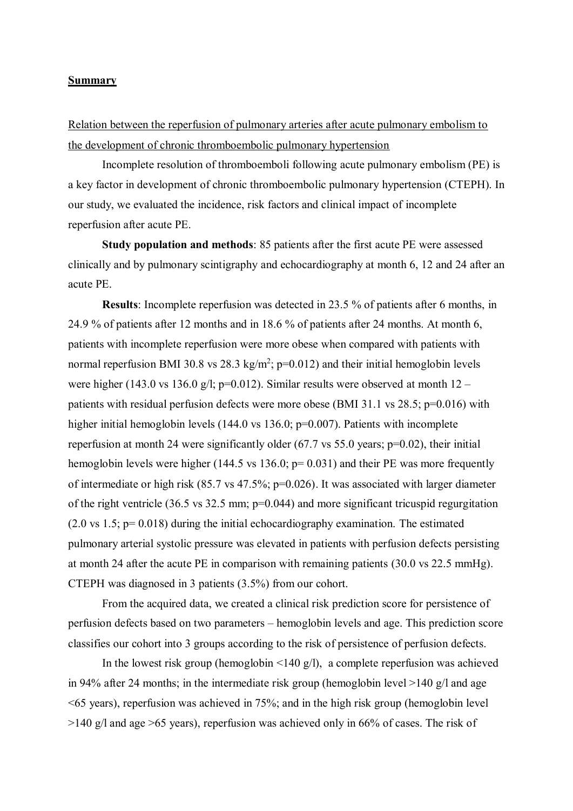## **Summary**

Relation between the reperfusion of pulmonary arteries after acute pulmonary embolism to the development of chronic thromboembolic pulmonary hypertension

Incomplete resolution of thromboemboli following acute pulmonary embolism (PE) is a key factor in development of chronic thromboembolic pulmonary hypertension (CTEPH). In our study, we evaluated the incidence, risk factors and clinical impact of incomplete reperfusion after acute PE.

**Study population and methods**: 85 patients after the first acute PE were assessed clinically and by pulmonary scintigraphy and echocardiography at month 6, 12 and 24 after an acute PE.

**Results**: Incomplete reperfusion was detected in 23.5 % of patients after 6 months, in 24.9 % of patients after 12 months and in 18.6 % of patients after 24 months. At month 6, patients with incomplete reperfusion were more obese when compared with patients with normal reperfusion BMI 30.8 vs 28.3 kg/m<sup>2</sup>;  $p=0.012$ ) and their initial hemoglobin levels were higher (143.0 vs 136.0 g/l;  $p=0.012$ ). Similar results were observed at month  $12$ patients with residual perfusion defects were more obese (BMI 31.1 vs 28.5; p=0.016) with higher initial hemoglobin levels (144.0 vs 136.0; p=0.007). Patients with incomplete reperfusion at month 24 were significantly older (67.7 vs 55.0 years; p=0.02), their initial hemoglobin levels were higher (144.5 vs 136.0; p= 0.031) and their PE was more frequently of intermediate or high risk (85.7 vs 47.5%; p=0.026). It was associated with larger diameter of the right ventricle (36.5 vs 32.5 mm; p=0.044) and more significant tricuspid regurgitation (2.0 vs 1.5; p= 0.018) during the initial echocardiography examination. The estimated pulmonary arterial systolic pressure was elevated in patients with perfusion defects persisting at month 24 after the acute PE in comparison with remaining patients (30.0 vs 22.5 mmHg). CTEPH was diagnosed in 3 patients (3.5%) from our cohort.

From the acquired data, we created a clinical risk prediction score for persistence of perfusion defects based on two parameters – hemoglobin levels and age. This prediction score classifies our cohort into 3 groups according to the risk of persistence of perfusion defects.

In the lowest risk group (hemoglobin  $\leq 140$  g/l), a complete reperfusion was achieved in 94% after 24 months; in the intermediate risk group (hemoglobin level >140 g/l and age <65 years), reperfusion was achieved in 75%; and in the high risk group (hemoglobin level  $>140$  g/l and age  $>65$  years), reperfusion was achieved only in 66% of cases. The risk of